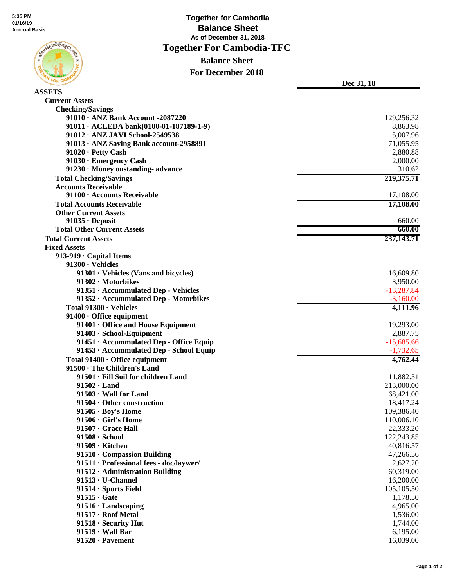

**ASSETS**

 **Together for Cambodia Balance Sheet As of December 31, 2018 Together For Cambodia-TFC Balance Sheet For December 2018**

**Dec 31, 18**

| <b>Current Assets</b>                                |              |
|------------------------------------------------------|--------------|
| <b>Checking/Savings</b>                              |              |
| 91010 · ANZ Bank Account -2087220                    | 129,256.32   |
| $91011 \cdot \text{ACLEDA bank}(0100-01-187189-1-9)$ | 8,863.98     |
| 91012 · ANZ JAVI School-2549538                      | 5,007.96     |
| 91013 · ANZ Saving Bank account-2958891              | 71,055.95    |
| $91020 \cdot$ Petty Cash                             | 2,880.88     |
| 91030 · Emergency Cash                               | 2,000.00     |
| 91230 · Money oustanding-advance                     | 310.62       |
| <b>Total Checking/Savings</b>                        | 219,375.71   |
| <b>Accounts Receivable</b>                           |              |
| 91100 · Accounts Receivable                          | 17,108.00    |
| <b>Total Accounts Receivable</b>                     | 17,108.00    |
| <b>Other Current Assets</b>                          |              |
| $91035 \cdot$ Deposit                                | 660.00       |
| <b>Total Other Current Assets</b>                    | 660.00       |
| <b>Total Current Assets</b>                          | 237, 143. 71 |
| <b>Fixed Assets</b>                                  |              |
| 913-919 · Capital Items                              |              |
| $91300 \cdot$ Vehicles                               |              |
| $91301 \cdot$ Vehicles (Vans and bicycles)           | 16,609.80    |
| 91302 · Motorbikes                                   | 3,950.00     |
| 91351 · Accummulated Dep - Vehicles                  | $-13,287.84$ |
| 91352 · Accummulated Dep - Motorbikes                | $-3,160.00$  |
| Total 91300 · Vehicles                               | 4,111.96     |
| 91400 · Office equipment                             |              |
| 91401 • Office and House Equipment                   | 19,293.00    |
| 91403 · School-Equipment                             | 2,887.75     |
| 91451 · Accummulated Dep - Office Equip              | $-15,685.66$ |
| 91453 · Accummulated Dep - School Equip              | $-1,732.65$  |
| Total $91400 \cdot$ Office equipment                 | 4,762.44     |
| 91500 · The Children's Land                          |              |
| 91501 · Fill Soil for children Land                  | 11,882.51    |
| $91502 \cdot$ Land                                   | 213,000.00   |
| $91503 \cdot$ Wall for Land                          | 68,421.00    |
| $91504 \cdot$ Other construction                     | 18,417.24    |
| $91505 \cdot Boy's Home$                             | 109,386.40   |
| $91506 \cdot$ Girl's Home                            | 110,006.10   |
| 91507 · Grace Hall                                   | 22,333.20    |
| $91508 \cdot$ School                                 | 122,243.85   |
| 91509 · Kitchen                                      | 40,816.57    |
| 91510 Compassion Building                            | 47,266.56    |
| 91511 · Professional fees - doc/laywer/              | 2,627.20     |
| 91512 · Administration Building                      | 60,319.00    |
| $91513 \cdot U$ -Channel                             | 16,200.00    |
| $91514 \cdot$ Sports Field                           | 105,105.50   |
| $91515 \cdot$ Gate                                   | 1,178.50     |
| $91516 \cdot$ Landscaping                            | 4,965.00     |
| 91517 · Roof Metal                                   | 1,536.00     |
| $91518 \cdot$ Security Hut                           | 1,744.00     |
| $91519 \cdot$ Wall Bar                               | 6,195.00     |
| $91520 \cdot \text{Pavement}$                        | 16,039.00    |
|                                                      |              |